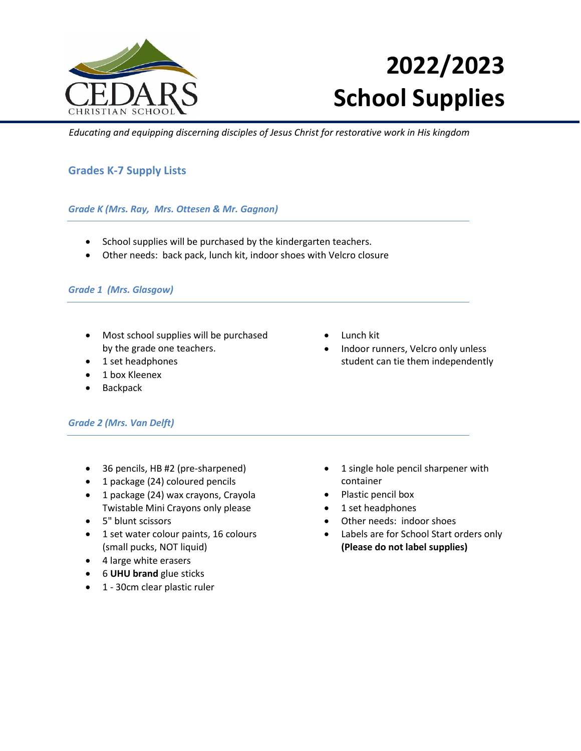

# **2022/2023 School Supplies**

 *Educating and equipping discerning disciples of Jesus Christ for restorative work in His kingdom*

## **Grades K-7 Supply Lists**

## *Grade K (Mrs. Ray, Mrs. Ottesen & Mr. Gagnon)*

- School supplies will be purchased by the kindergarten teachers.
- Other needs: back pack, lunch kit, indoor shoes with Velcro closure

#### *Grade 1 (Mrs. Glasgow)*

- Most school supplies will be purchased by the grade one teachers.
- 1 set headphones
- 1 box Kleenex
- Backpack

## *Grade 2 (Mrs. Van Delft)*

- 36 pencils, HB #2 (pre-sharpened)
- 1 package (24) coloured pencils
- 1 package (24) wax crayons, Crayola Twistable Mini Crayons only please
- 5" blunt scissors
- 1 set water colour paints, 16 colours (small pucks, NOT liquid)
- 4 large white erasers
- 6 **UHU brand** glue sticks
- 1 30cm clear plastic ruler
- Lunch kit
- Indoor runners, Velcro only unless student can tie them independently

- 1 single hole pencil sharpener with container
- Plastic pencil box
- 1 set headphones
- Other needs: indoor shoes
- Labels are for School Start orders only **(Please do not label supplies)**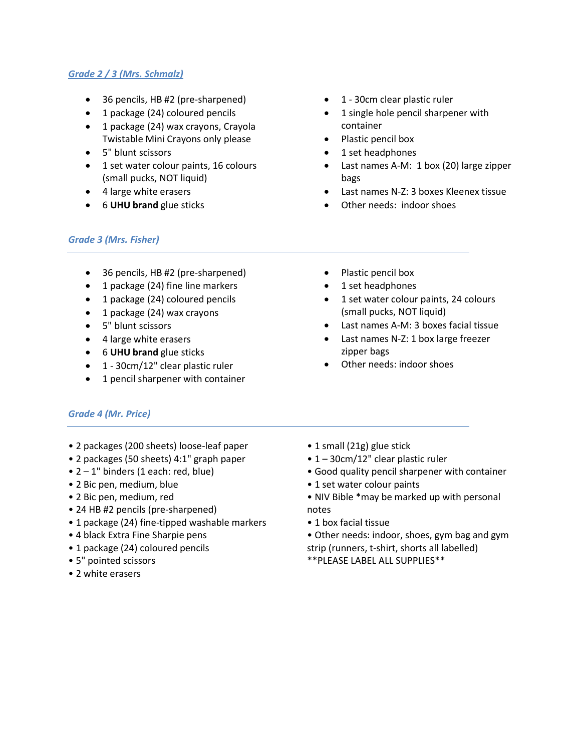## *Grade 2 / 3 (Mrs. Schmalz)*

- 36 pencils, HB #2 (pre-sharpened)
- 1 package (24) coloured pencils
- 1 package (24) wax crayons, Crayola Twistable Mini Crayons only please
- 5" blunt scissors
- 1 set water colour paints, 16 colours (small pucks, NOT liquid)
- 4 large white erasers
- 6 **UHU brand** glue sticks
- 1 30cm clear plastic ruler
- 1 single hole pencil sharpener with container
- Plastic pencil box
- 1 set headphones
- Last names A-M: 1 box (20) large zipper bags
- Last names N-Z: 3 boxes Kleenex tissue
- Other needs: indoor shoes

 Plastic pencil box 1 set headphones

## *Grade 3 (Mrs. Fisher)*

- 36 pencils, HB #2 (pre-sharpened)
- 1 package (24) fine line markers
- 1 package (24) coloured pencils
- 1 package (24) wax crayons
- 5" blunt scissors
- 4 large white erasers
- 6 **UHU brand** glue sticks
- 1 30cm/12" clear plastic ruler
- 1 pencil sharpener with container
- (small pucks, NOT liquid)
	- Last names A-M: 3 boxes facial tissue

• 1 set water colour paints, 24 colours

- Last names N-Z: 1 box large freezer zipper bags
- Other needs: indoor shoes

## *Grade 4 (Mr. Price)*

- 2 packages (200 sheets) loose-leaf paper
- 2 packages (50 sheets) 4:1" graph paper
- $\bullet$  2 1" binders (1 each: red, blue)
- 2 Bic pen, medium, blue
- 2 Bic pen, medium, red
- 24 HB #2 pencils (pre-sharpened)
- 1 package (24) fine-tipped washable markers
- 4 black Extra Fine Sharpie pens
- 1 package (24) coloured pencils
- 5" pointed scissors
- 2 white erasers
- 1 small (21g) glue stick
- 1 30cm/12" clear plastic ruler
- Good quality pencil sharpener with container
- 1 set water colour paints
- NIV Bible \*may be marked up with personal notes
- 1 box facial tissue
- Other needs: indoor, shoes, gym bag and gym strip (runners, t-shirt, shorts all labelled) \*\*PLEASE LABEL ALL SUPPLIES\*\*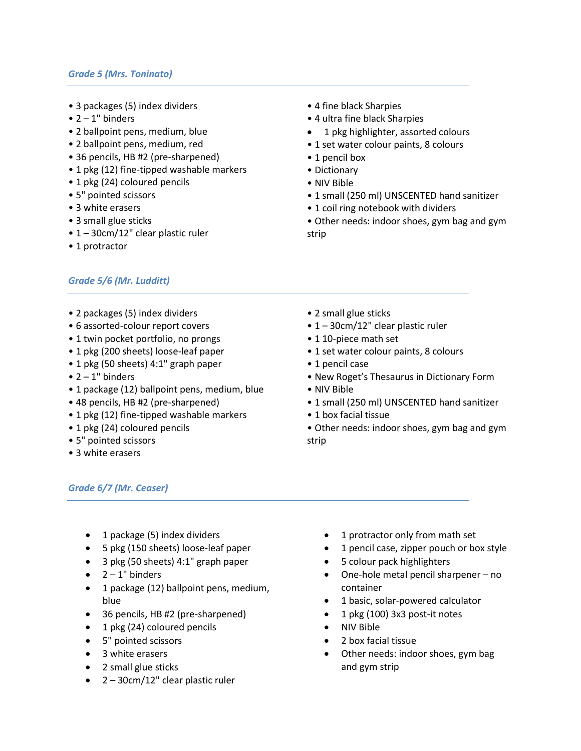#### *Grade 5 (Mrs. Toninato)*

- 3 packages (5) index dividers
- $\bullet$  2 1" binders
- 2 ballpoint pens, medium, blue
- 2 ballpoint pens, medium, red
- 36 pencils, HB #2 (pre-sharpened)
- 1 pkg (12) fine-tipped washable markers
- 1 pkg (24) coloured pencils
- 5" pointed scissors
- 3 white erasers
- 3 small glue sticks
- 1 30cm/12" clear plastic ruler
- 1 protractor

## *Grade 5/6 (Mr. Ludditt)*

- 2 packages (5) index dividers
- 6 assorted-colour report covers
- 1 twin pocket portfolio, no prongs
- 1 pkg (200 sheets) loose-leaf paper
- 1 pkg (50 sheets) 4:1" graph paper
- $\bullet$  2 1" binders
- 1 package (12) ballpoint pens, medium, blue
- 48 pencils, HB #2 (pre-sharpened)
- 1 pkg (12) fine-tipped washable markers
- 1 pkg (24) coloured pencils
- 5" pointed scissors
- 3 white erasers

#### *Grade 6/7 (Mr. Ceaser)*

- 1 package (5) index dividers
- 5 pkg (150 sheets) loose-leaf paper
- 3 pkg (50 sheets) 4:1" graph paper
- $\bullet$  2 1" binders
- 1 package (12) ballpoint pens, medium, blue
- 36 pencils, HB #2 (pre-sharpened)
- 1 pkg (24) coloured pencils
- 5" pointed scissors
- 3 white erasers
- 2 small glue sticks
- 2 30cm/12" clear plastic ruler
- 4 fine black Sharpies
- 4 ultra fine black Sharpies
- 1 pkg highlighter, assorted colours
- 1 set water colour paints, 8 colours
- 1 pencil box
- Dictionary
- NIV Bible
- 1 small (250 ml) UNSCENTED hand sanitizer
- 1 coil ring notebook with dividers
- Other needs: indoor shoes, gym bag and gym strip
- 2 small glue sticks
- 1 30cm/12" clear plastic ruler
- 1 10-piece math set
- 1 set water colour paints, 8 colours
- 1 pencil case
- New Roget's Thesaurus in Dictionary Form
- NIV Bible
- 1 small (250 ml) UNSCENTED hand sanitizer
- 1 box facial tissue
- Other needs: indoor shoes, gym bag and gym strip

- 1 protractor only from math set
- 1 pencil case, zipper pouch or box style
- 5 colour pack highlighters
- One-hole metal pencil sharpener no container
- 1 basic, solar-powered calculator
- 1 pkg (100) 3x3 post-it notes
- NIV Bible
- 2 box facial tissue
- Other needs: indoor shoes, gym bag and gym strip